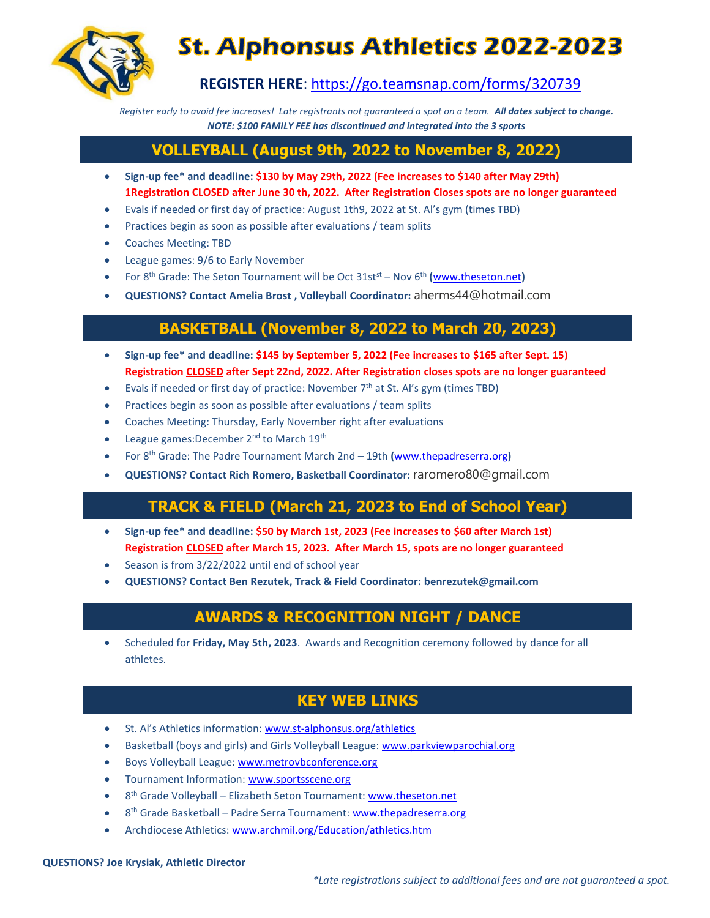

# **St. Alphonsus Athletics 2022-2023**

**REGISTER HERE**:<https://go.teamsnap.com/forms/320739>

*Register early to avoid fee increases! Late registrants not guaranteed a spot on a team. All dates subject to change. NOTE: \$100 FAMILY FEE has discontinued and integrated into the 3 sports*

## **VOLLEYBALL (August 9th, 2022 to November 8, 2022)**

- **Sign-up fee\* and deadline: \$130 by May 29th, 2022 (Fee increases to \$140 after May 29th) 1Registration CLOSED after June 30 th, 2022. After Registration Closes spots are no longer guaranteed**
- Evals if needed or first day of practice: August 1th9, 2022 at St. Al's gym (times TBD)
- Practices begin as soon as possible after evaluations / team splits
- Coaches Meeting: TBD
- League games: 9/6 to Early November
- For 8th Grade: The Seton Tournament will be Oct 31stst Nov 6th **(**[www.theseton.net](http://www.theseton.net/)**)**
- **QUESTIONS? Contact Amelia Brost , Volleyball Coordinator:** aherms44@hotmail.com

# **BASKETBALL (November 8, 2022 to March 20, 2023)**

- **Sign-up fee\* and deadline: \$145 by September 5, 2022 (Fee increases to \$165 after Sept. 15) Registration CLOSED after Sept 22nd, 2022. After Registration closes spots are no longer guaranteed**
- Evals if needed or first day of practice: November  $7<sup>th</sup>$  at St. Al's gym (times TBD)
- Practices begin as soon as possible after evaluations / team splits
- Coaches Meeting: Thursday, Early November right after evaluations
- League games: December 2<sup>nd</sup> to March 19<sup>th</sup>
- For 8th Grade: The Padre Tournament March 2nd 19th **(**[www.thepadreserra.org](http://www.thepadreserra.org/)**)**
- **QUESTIONS? Contact Rich Romero, Basketball Coordinator:** raromero80@gmail.com

#### TRACK & FIELD: **TRACK & FIELD (March 21, 2023 to End of School Year)**

- **Sign-up fee\* and deadline: \$50 by March 1st, 2023 (Fee increases to \$60 after March 1st) Registration CLOSED after March 15, 2023. After March 15, spots are no longer guaranteed**
- Season is from 3/22/2022 until end of school year
- **QUESTIONS? Contact Ben Rezutek, Track & Field Coordinator: benrezutek@gmail.com**

### AWARDS & RECOGNITION NIGHT: **AWARDS & RECOGNITION NIGHT / DANCE**

 Scheduled for **Friday, May 5th, 2023**. Awards and Recognition ceremony followed by dance for all athletes.

# **KEY WEB LINKS**

- St. Al's Athletics information[: www.st-alphonsus.org/athletics](http://www.st-alphonsus.org/athletics)
- Basketball (boys and girls) and Girls Volleyball League[: www.parkviewparochial.org](http://www.parkviewparochial.org/)
- Boys Volleyball League: [www.metrovbconference.org](http://www.metrovbconference.org/)
- Tournament Information: [www.sportsscene.org](http://www.sportsscene.org/)
- 8<sup>th</sup> Grade Volleyball Elizabeth Seton Tournament[: www.theseton.net](http://www.theseton.net/)
- 8<sup>th</sup> Grade Basketball Padre Serra Tournament: **www.thepadreserra.org**
- Archdiocese Athletics: www.archmil.org/Education/athletics.htm

#### **QUESTIONS? Joe Krysiak, Athletic Director**